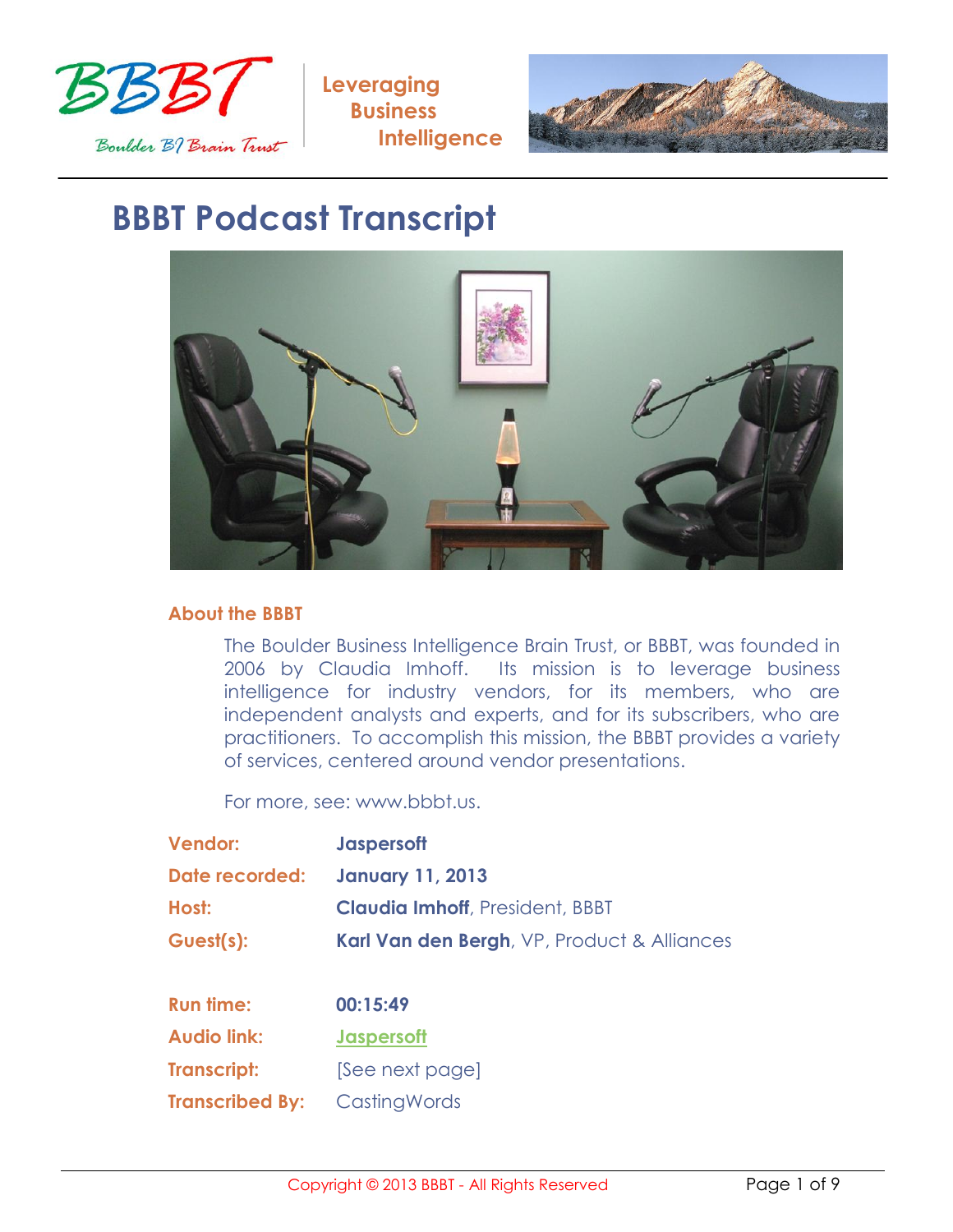



## **BBBT Podcast Transcript**



## **About the BBBT**

The Boulder Business Intelligence Brain Trust, or BBBT, was founded in 2006 by Claudia Imhoff. Its mission is to leverage business intelligence for industry vendors, for its members, who are independent analysts and experts, and for its subscribers, who are practitioners. To accomplish this mission, the BBBT provides a variety of services, centered around vendor presentations.

For more, see: www.bbbt.us.

| <b>Vendor:</b>                  | <b>Jaspersoft</b>                           |
|---------------------------------|---------------------------------------------|
| Date recorded: January 11, 2013 |                                             |
| Host:                           | <b>Claudia Imhoff, President, BBBT</b>      |
| Guest(s):                       | Karl Van den Bergh, VP, Product & Alliances |

| <b>Run time:</b>       | 00:15:49          |
|------------------------|-------------------|
| <b>Audio link:</b>     | <b>Jaspersoft</b> |
| <b>Transcript:</b>     | [See next page]   |
| <b>Transcribed By:</b> | CastingWords      |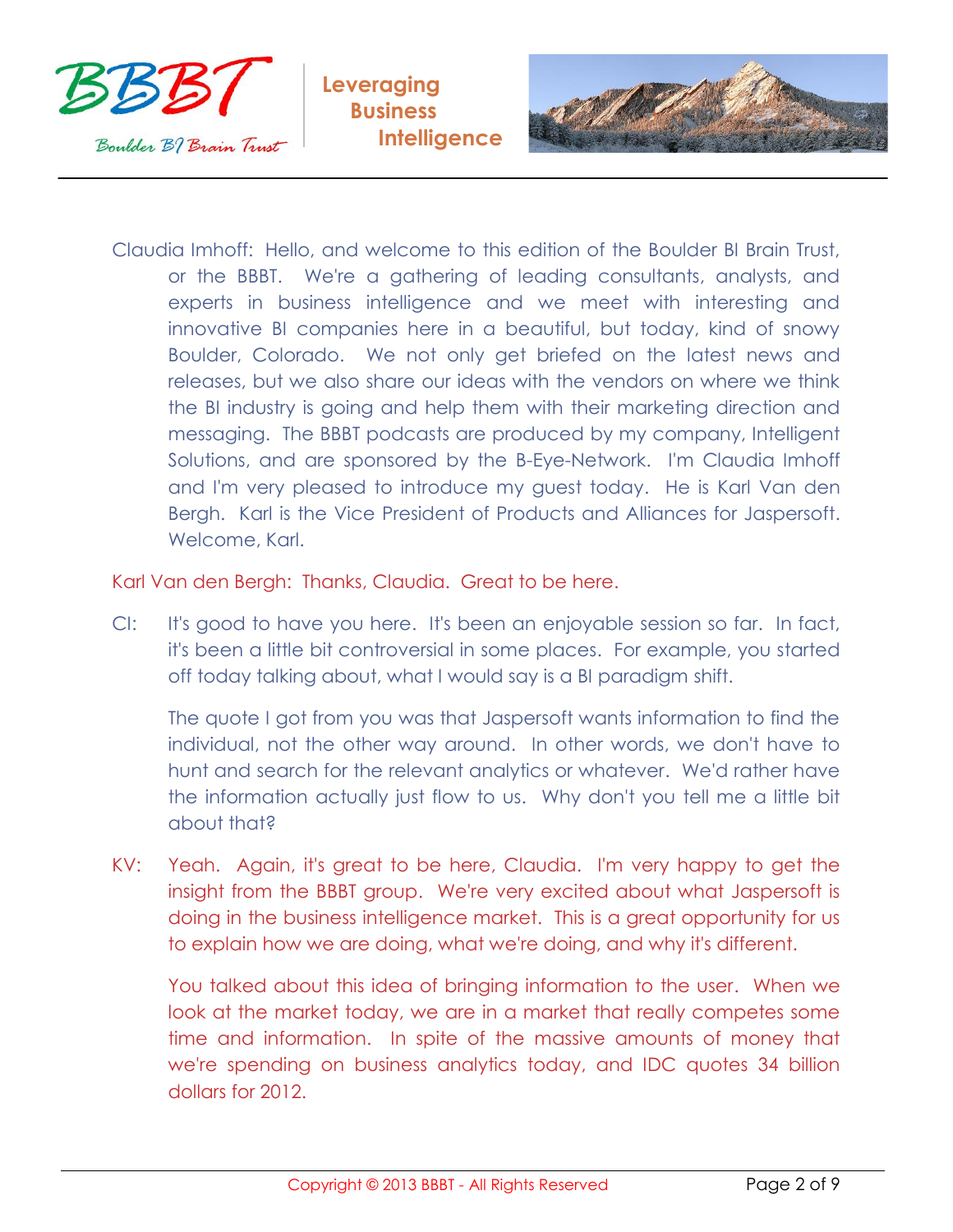



Claudia Imhoff: Hello, and welcome to this edition of the Boulder BI Brain Trust, or the BBBT. We're a gathering of leading consultants, analysts, and experts in business intelligence and we meet with interesting and innovative BI companies here in a beautiful, but today, kind of snowy Boulder, Colorado. We not only get briefed on the latest news and releases, but we also share our ideas with the vendors on where we think the BI industry is going and help them with their marketing direction and messaging. The BBBT podcasts are produced by my company, Intelligent Solutions, and are sponsored by the B-Eye-Network. I'm Claudia Imhoff and I'm very pleased to introduce my guest today. He is Karl Van den Bergh. Karl is the Vice President of Products and Alliances for Jaspersoft. Welcome, Karl.

Karl Van den Bergh: Thanks, Claudia. Great to be here.

CI: It's good to have you here. It's been an enjoyable session so far. In fact, it's been a little bit controversial in some places. For example, you started off today talking about, what I would say is a BI paradigm shift.

The quote I got from you was that Jaspersoft wants information to find the individual, not the other way around. In other words, we don't have to hunt and search for the relevant analytics or whatever. We'd rather have the information actually just flow to us. Why don't you tell me a little bit about that?

KV: Yeah. Again, it's great to be here, Claudia. I'm very happy to get the insight from the BBBT group. We're very excited about what Jaspersoft is doing in the business intelligence market. This is a great opportunity for us to explain how we are doing, what we're doing, and why it's different.

You talked about this idea of bringing information to the user. When we look at the market today, we are in a market that really competes some time and information. In spite of the massive amounts of money that we're spending on business analytics today, and IDC quotes 34 billion dollars for 2012.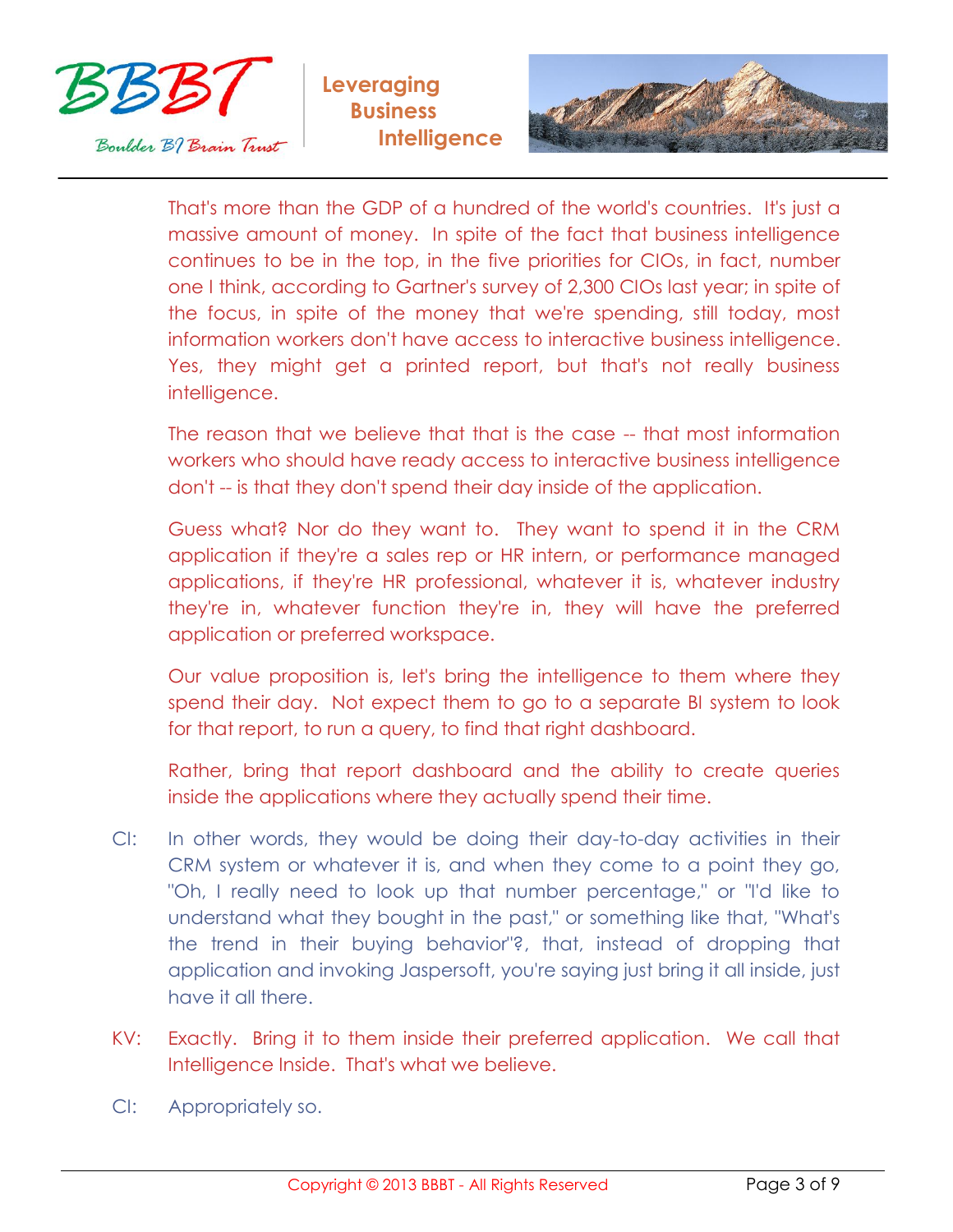



That's more than the GDP of a hundred of the world's countries. It's just a massive amount of money. In spite of the fact that business intelligence continues to be in the top, in the five priorities for CIOs, in fact, number one I think, according to Gartner's survey of 2,300 CIOs last year; in spite of the focus, in spite of the money that we're spending, still today, most information workers don't have access to interactive business intelligence. Yes, they might get a printed report, but that's not really business intelligence.

The reason that we believe that that is the case -- that most information workers who should have ready access to interactive business intelligence don't -- is that they don't spend their day inside of the application.

Guess what? Nor do they want to. They want to spend it in the CRM application if they're a sales rep or HR intern, or performance managed applications, if they're HR professional, whatever it is, whatever industry they're in, whatever function they're in, they will have the preferred application or preferred workspace.

Our value proposition is, let's bring the intelligence to them where they spend their day. Not expect them to go to a separate BI system to look for that report, to run a query, to find that right dashboard.

Rather, bring that report dashboard and the ability to create queries inside the applications where they actually spend their time.

- CI: In other words, they would be doing their day-to-day activities in their CRM system or whatever it is, and when they come to a point they go, "Oh, I really need to look up that number percentage," or "I'd like to understand what they bought in the past," or something like that, "What's the trend in their buying behavior"?, that, instead of dropping that application and invoking Jaspersoft, you're saying just bring it all inside, just have it all there.
- KV: Exactly. Bring it to them inside their preferred application. We call that Intelligence Inside. That's what we believe.
- CI: Appropriately so.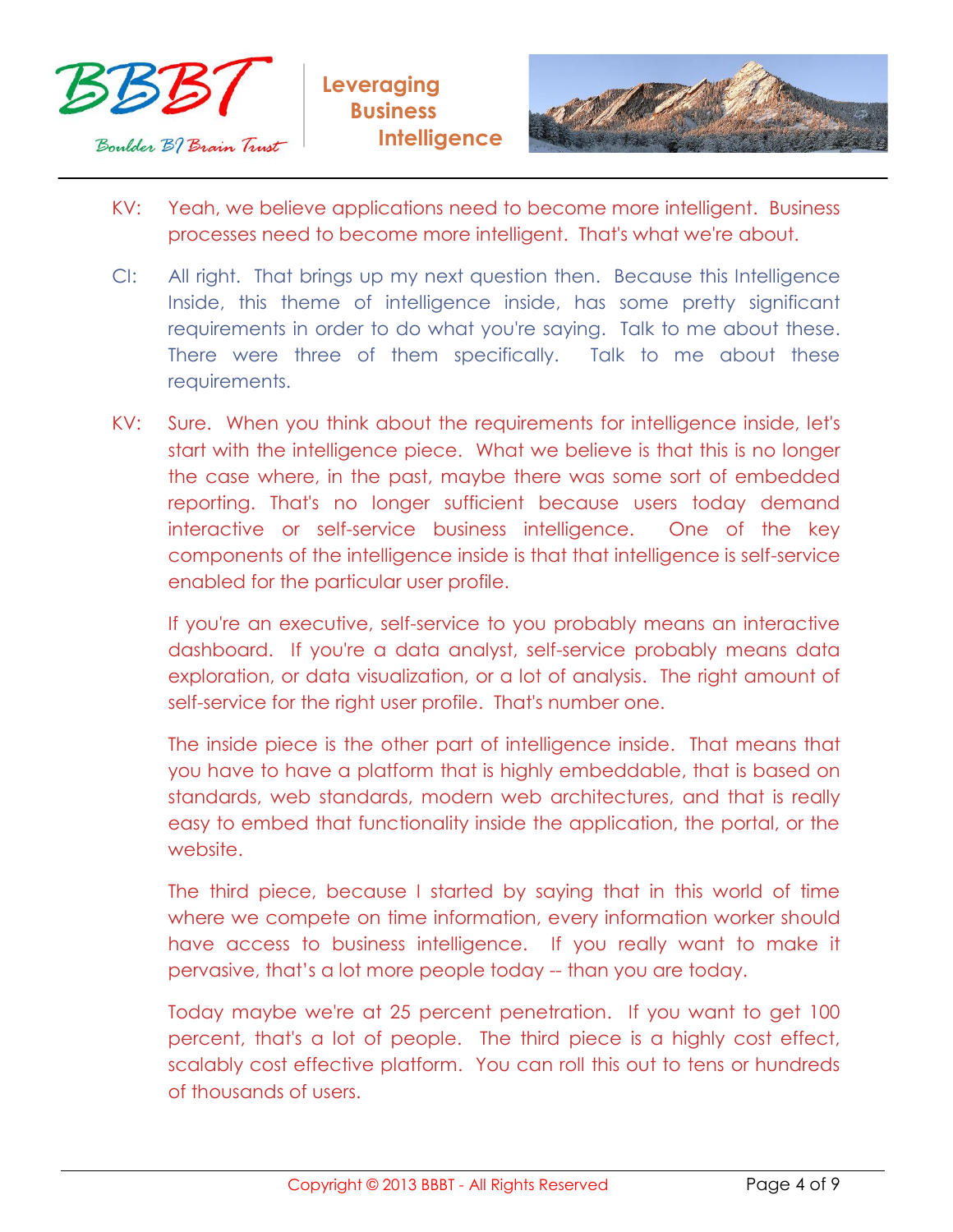



- KV: Yeah, we believe applications need to become more intelligent. Business processes need to become more intelligent. That's what we're about.
- CI: All right. That brings up my next question then. Because this Intelligence Inside, this theme of intelligence inside, has some pretty significant requirements in order to do what you're saying. Talk to me about these. There were three of them specifically. Talk to me about these requirements.
- KV: Sure. When you think about the requirements for intelligence inside, let's start with the intelligence piece. What we believe is that this is no longer the case where, in the past, maybe there was some sort of embedded reporting. That's no longer sufficient because users today demand interactive or self-service business intelligence. One of the key components of the intelligence inside is that that intelligence is self-service enabled for the particular user profile.

If you're an executive, self-service to you probably means an interactive dashboard. If you're a data analyst, self-service probably means data exploration, or data visualization, or a lot of analysis. The right amount of self-service for the right user profile. That's number one.

The inside piece is the other part of intelligence inside. That means that you have to have a platform that is highly embeddable, that is based on standards, web standards, modern web architectures, and that is really easy to embed that functionality inside the application, the portal, or the website.

The third piece, because I started by saying that in this world of time where we compete on time information, every information worker should have access to business intelligence. If you really want to make it pervasive, that's a lot more people today -- than you are today.

Today maybe we're at 25 percent penetration. If you want to get 100 percent, that's a lot of people. The third piece is a highly cost effect, scalably cost effective platform. You can roll this out to tens or hundreds of thousands of users.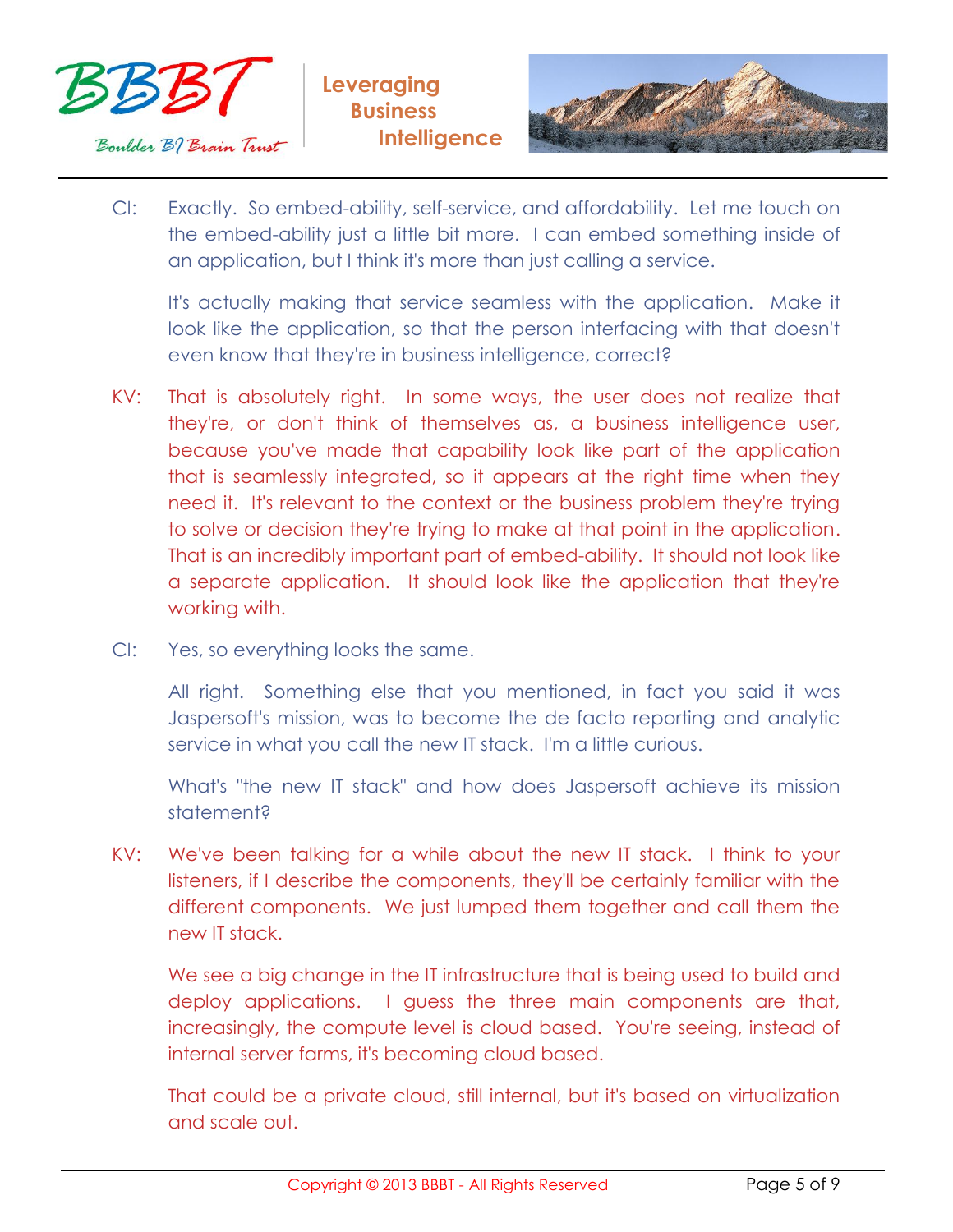



CI: Exactly. So embed-ability, self-service, and affordability. Let me touch on the embed-ability just a little bit more. I can embed something inside of an application, but I think it's more than just calling a service.

It's actually making that service seamless with the application. Make it look like the application, so that the person interfacing with that doesn't even know that they're in business intelligence, correct?

- KV: That is absolutely right. In some ways, the user does not realize that they're, or don't think of themselves as, a business intelligence user, because you've made that capability look like part of the application that is seamlessly integrated, so it appears at the right time when they need it. It's relevant to the context or the business problem they're trying to solve or decision they're trying to make at that point in the application. That is an incredibly important part of embed-ability. It should not look like a separate application. It should look like the application that they're working with.
- CI: Yes, so everything looks the same.

All right. Something else that you mentioned, in fact you said it was Jaspersoft's mission, was to become the de facto reporting and analytic service in what you call the new IT stack. I'm a little curious.

What's "the new IT stack" and how does Jaspersoft achieve its mission statement?

KV: We've been talking for a while about the new IT stack. I think to your listeners, if I describe the components, they'll be certainly familiar with the different components. We just lumped them together and call them the new IT stack.

We see a big change in the IT infrastructure that is being used to build and deploy applications. I guess the three main components are that, increasingly, the compute level is cloud based. You're seeing, instead of internal server farms, it's becoming cloud based.

That could be a private cloud, still internal, but it's based on virtualization and scale out.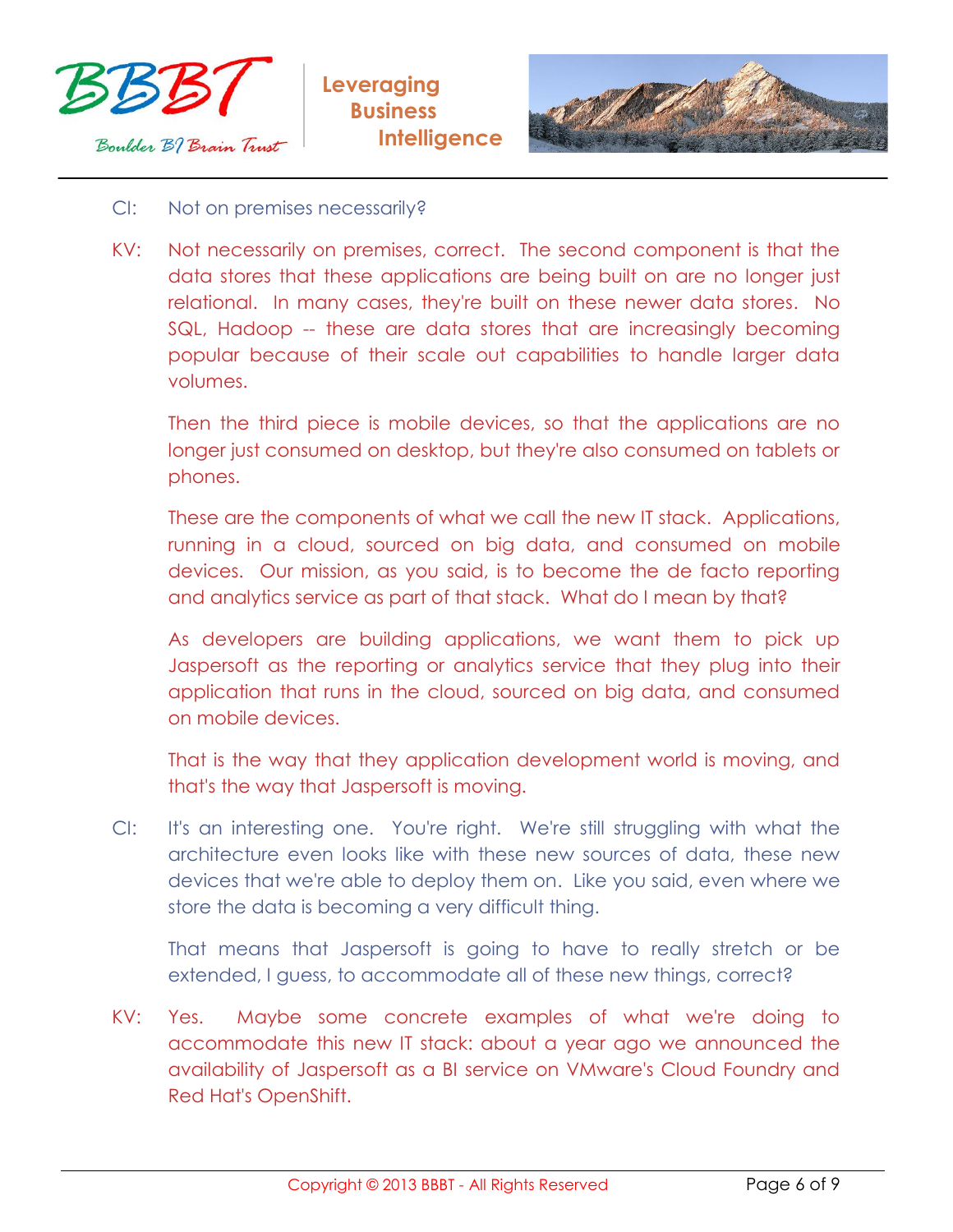



## CI: Not on premises necessarily?

KV: Not necessarily on premises, correct. The second component is that the data stores that these applications are being built on are no longer just relational. In many cases, they're built on these newer data stores. No SQL, Hadoop -- these are data stores that are increasingly becoming popular because of their scale out capabilities to handle larger data volumes.

Then the third piece is mobile devices, so that the applications are no longer just consumed on desktop, but they're also consumed on tablets or phones.

These are the components of what we call the new IT stack. Applications, running in a cloud, sourced on big data, and consumed on mobile devices. Our mission, as you said, is to become the de facto reporting and analytics service as part of that stack. What do I mean by that?

As developers are building applications, we want them to pick up Jaspersoft as the reporting or analytics service that they plug into their application that runs in the cloud, sourced on big data, and consumed on mobile devices.

That is the way that they application development world is moving, and that's the way that Jaspersoft is moving.

CI: It's an interesting one. You're right. We're still struggling with what the architecture even looks like with these new sources of data, these new devices that we're able to deploy them on. Like you said, even where we store the data is becoming a very difficult thing.

That means that Jaspersoft is going to have to really stretch or be extended, I guess, to accommodate all of these new things, correct?

KV: Yes. Maybe some concrete examples of what we're doing to accommodate this new IT stack: about a year ago we announced the availability of Jaspersoft as a BI service on VMware's Cloud Foundry and Red Hat's OpenShift.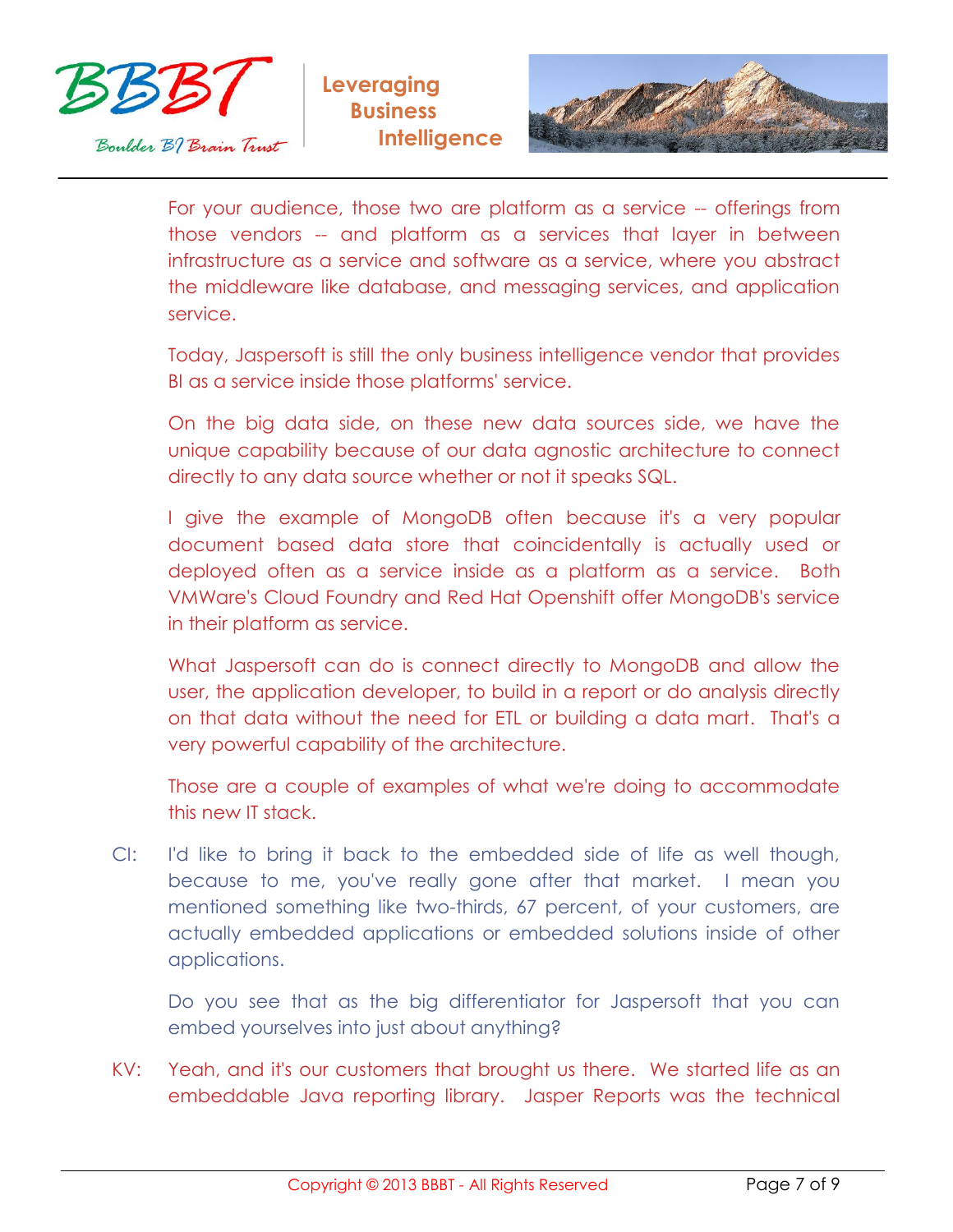



For your audience, those two are platform as a service -- offerings from those vendors -- and platform as a services that layer in between infrastructure as a service and software as a service, where you abstract the middleware like database, and messaging services, and application service.

Today, Jaspersoft is still the only business intelligence vendor that provides BI as a service inside those platforms' service.

On the big data side, on these new data sources side, we have the unique capability because of our data agnostic architecture to connect directly to any data source whether or not it speaks SQL.

I give the example of MongoDB often because it's a very popular document based data store that coincidentally is actually used or deployed often as a service inside as a platform as a service. Both VMWare's Cloud Foundry and Red Hat Openshift offer MongoDB's service in their platform as service.

What Jaspersoft can do is connect directly to MongoDB and allow the user, the application developer, to build in a report or do analysis directly on that data without the need for ETL or building a data mart. That's a very powerful capability of the architecture.

Those are a couple of examples of what we're doing to accommodate this new IT stack.

CI: I'd like to bring it back to the embedded side of life as well though, because to me, you've really gone after that market. I mean you mentioned something like two-thirds, 67 percent, of your customers, are actually embedded applications or embedded solutions inside of other applications.

Do you see that as the big differentiator for Jaspersoft that you can embed yourselves into just about anything?

KV: Yeah, and it's our customers that brought us there. We started life as an embeddable Java reporting library. Jasper Reports was the technical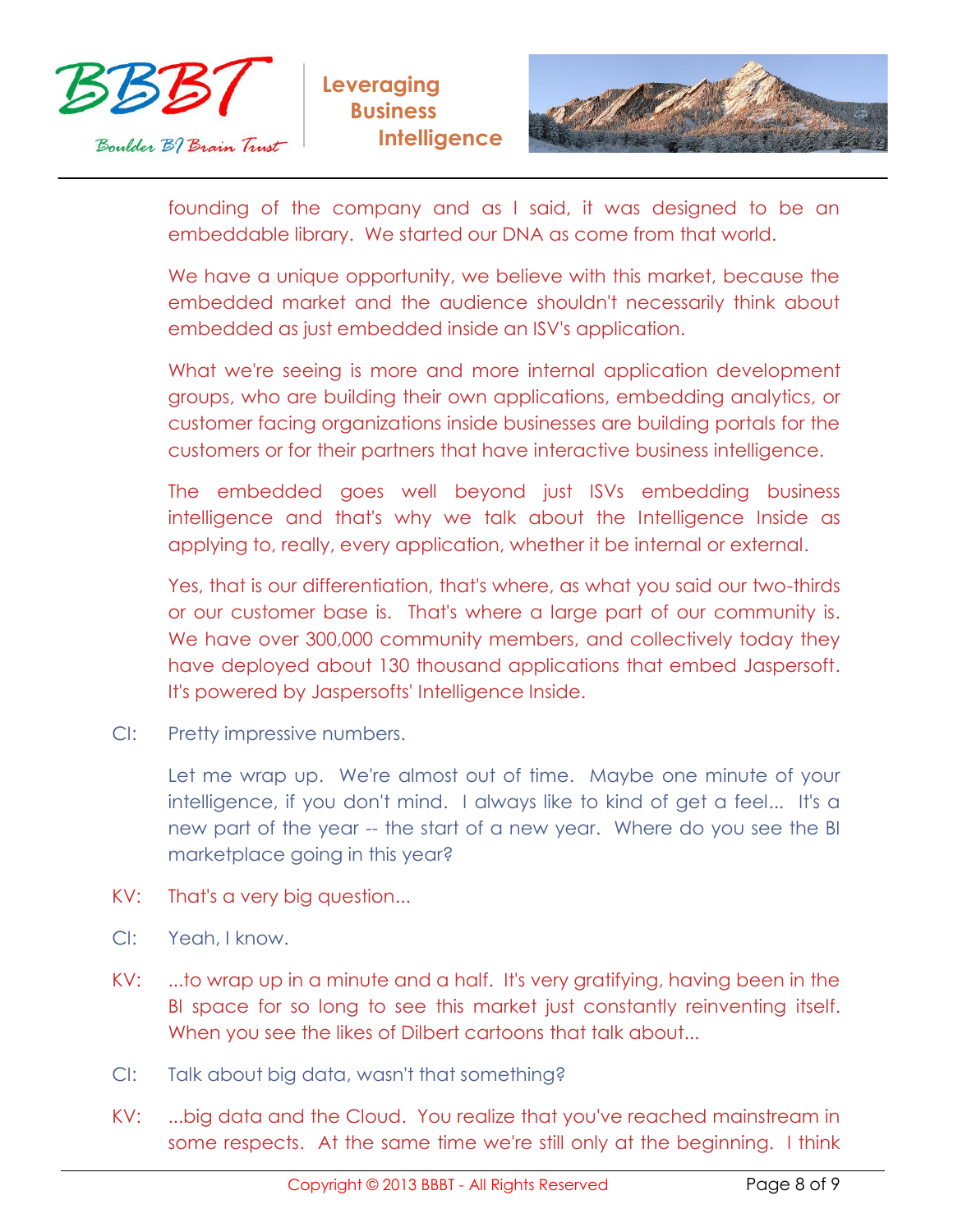



founding of the company and as I said, it was designed to be an embeddable library. We started our DNA as come from that world.

We have a unique opportunity, we believe with this market, because the embedded market and the audience shouldn't necessarily think about embedded as just embedded inside an ISV's application.

What we're seeing is more and more internal application development groups, who are building their own applications, embedding analytics, or customer facing organizations inside businesses are building portals for the customers or for their partners that have interactive business intelligence.

The embedded goes well beyond just ISVs embedding business intelligence and that's why we talk about the Intelligence Inside as applying to, really, every application, whether it be internal or external.

Yes, that is our differentiation, that's where, as what you said our two-thirds or our customer base is. That's where a large part of our community is. We have over 300,000 community members, and collectively today they have deployed about 130 thousand applications that embed Jaspersoft. It's powered by Jaspersofts' Intelligence Inside.

CI: Pretty impressive numbers.

Let me wrap up. We're almost out of time. Maybe one minute of your intelligence, if you don't mind. I always like to kind of get a feel... It's a new part of the year -- the start of a new year. Where do you see the BI marketplace going in this year?

- KV: That's a very big question...
- CI: Yeah, I know.
- KV: ...to wrap up in a minute and a half. It's very gratifying, having been in the BI space for so long to see this market just constantly reinventing itself. When you see the likes of Dilbert cartoons that talk about...
- CI: Talk about big data, wasn't that something?
- KV: ...big data and the Cloud. You realize that you've reached mainstream in some respects. At the same time we're still only at the beginning. I think